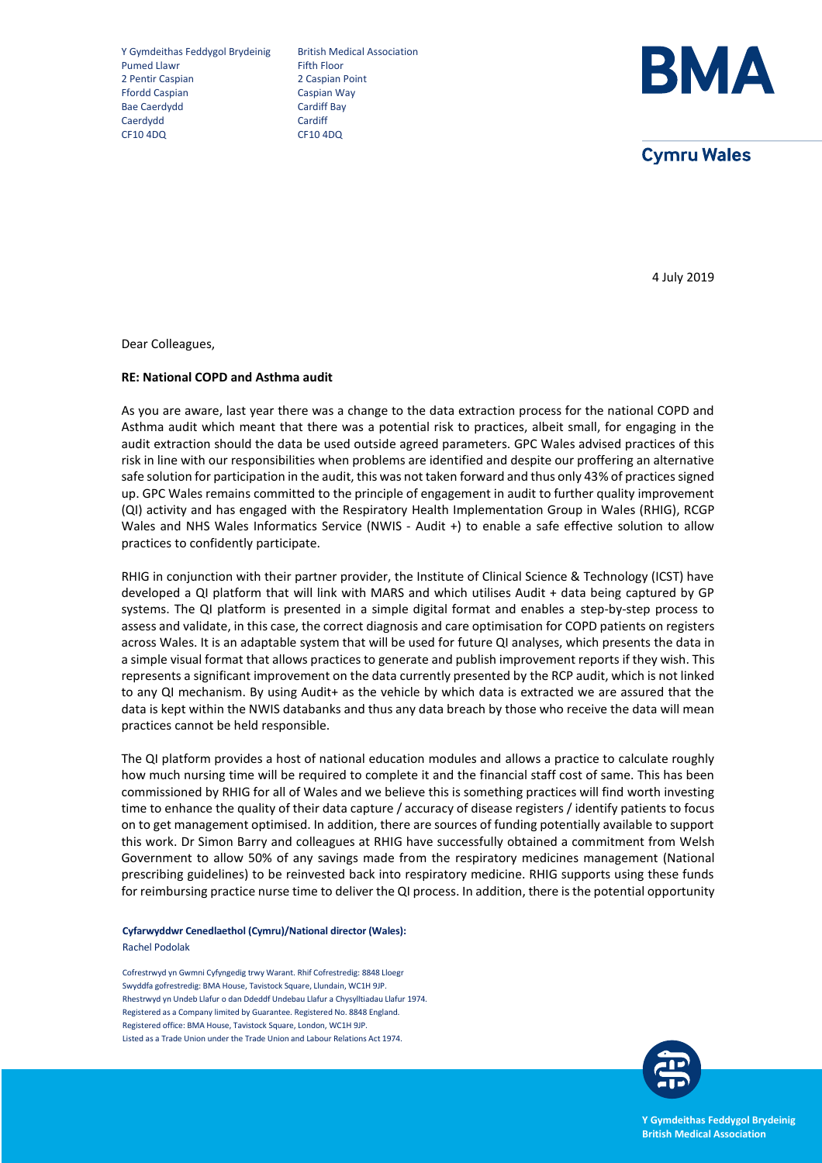Y Gymdeithas Feddygol Brydeinig British Medical Association<br>Pumed Llawr Fifth Floor Pumed Llawr 2 Pentir Caspian 2 Caspian Point Ffordd Caspian Caspian Way Bae Caerdydd<br>Caerdydd Caerdiff Bay<br>Caerdydd Cardiff Caerdydd CF10 4DQ CF10 4DQ



**Cymru Wales** 

4 July 2019

Dear Colleagues,

## **RE: National COPD and Asthma audit**

As you are aware, last year there was a change to the data extraction process for the national COPD and Asthma audit which meant that there was a potential risk to practices, albeit small, for engaging in the audit extraction should the data be used outside agreed parameters. GPC Wales advised practices of this risk in line with our responsibilities when problems are identified and despite our proffering an alternative safe solution for participation in the audit, this was not taken forward and thus only 43% of practices signed up. GPC Wales remains committed to the principle of engagement in audit to further quality improvement (QI) activity and has engaged with the Respiratory Health Implementation Group in Wales (RHIG), RCGP Wales and NHS Wales Informatics Service (NWIS - Audit +) to enable a safe effective solution to allow practices to confidently participate.

RHIG in conjunction with their partner provider, the Institute of Clinical Science & Technology (ICST) have developed a QI platform that will link with MARS and which utilises Audit + data being captured by GP systems. The QI platform is presented in a simple digital format and enables a step-by-step process to assess and validate, in this case, the correct diagnosis and care optimisation for COPD patients on registers across Wales. It is an adaptable system that will be used for future QI analyses, which presents the data in a simple visual format that allows practices to generate and publish improvement reports if they wish. This represents a significant improvement on the data currently presented by the RCP audit, which is not linked to any QI mechanism. By using Audit+ as the vehicle by which data is extracted we are assured that the data is kept within the NWIS databanks and thus any data breach by those who receive the data will mean practices cannot be held responsible.

The QI platform provides a host of national education modules and allows a practice to calculate roughly how much nursing time will be required to complete it and the financial staff cost of same. This has been commissioned by RHIG for all of Wales and we believe this is something practices will find worth investing time to enhance the quality of their data capture / accuracy of disease registers / identify patients to focus on to get management optimised. In addition, there are sources of funding potentially available to support this work. Dr Simon Barry and colleagues at RHIG have successfully obtained a commitment from Welsh Government to allow 50% of any savings made from the respiratory medicines management (National prescribing guidelines) to be reinvested back into respiratory medicine. RHIG supports using these funds for reimbursing practice nurse time to deliver the QI process. In addition, there is the potential opportunity

## **Cyfarwyddwr Cenedlaethol (Cymru)/National director (Wales):**

Rachel Podolak

Cofrestrwyd yn Gwmni Cyfyngedig trwy Warant. Rhif Cofrestredig: 8848 Lloegr Swyddfa gofrestredig: BMA House, Tavistock Square, Llundain, WC1H 9JP. Rhestrwyd yn Undeb Llafur o dan Ddeddf Undebau Llafur a Chysylltiadau Llafur 1974. Registered as a Company limited by Guarantee. Registered No. 8848 England. Registered office: BMA House, Tavistock Square, London, WC1H 9JP. Listed as a Trade Union under the Trade Union and Labour Relations Act 1974.



**Y Gymdeithas Feddygol Brydeinig British Medical Association**